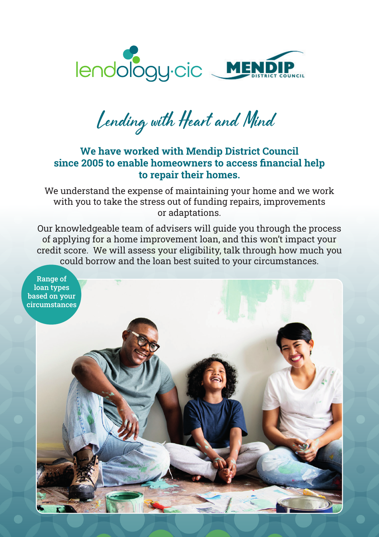

Lending with Heart and Mind

## We have worked with Mendip District Council since 2005 to enable homeowners to access financial help to repair their homes.

We understand the expense of maintaining your home and we work with you to take the stress out of funding repairs, improvements or adaptations.

Our knowledgeable team of advisers will guide you through the process of applying for a home improvement loan, and this won't impact your credit score. We will assess your eligibility, talk through how much you could borrow and the loan best suited to your circumstances.